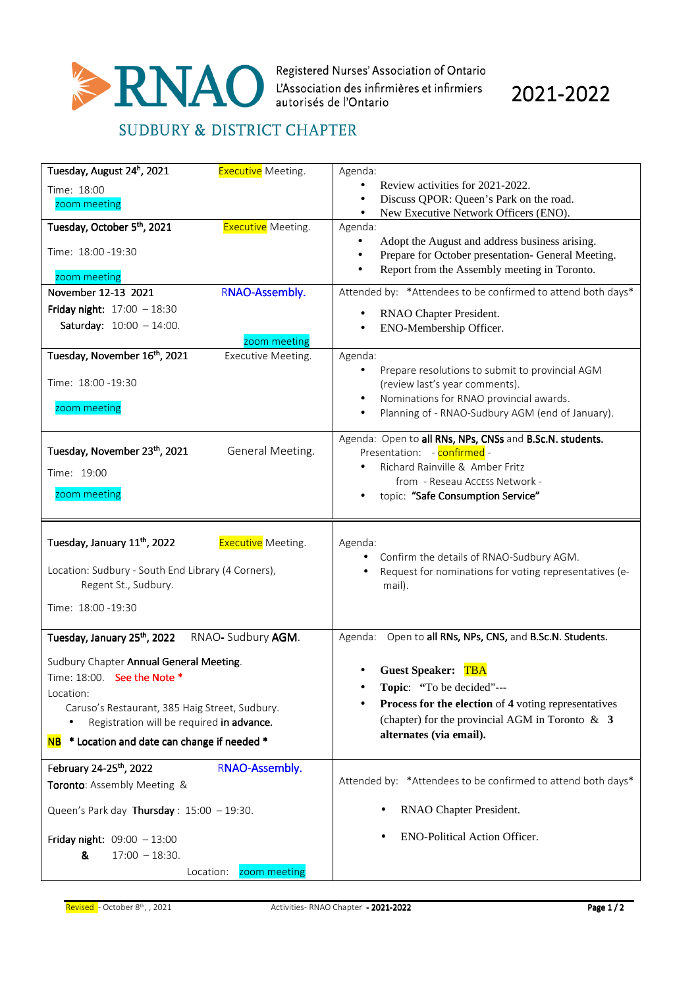

2021-2022

## **SUDBURY & DISTRICT CHAPTER**

| Tuesday, August 24 <sup>h</sup> , 2021<br><b>Executive</b> Meeting.   | Agenda:                                                                                              |
|-----------------------------------------------------------------------|------------------------------------------------------------------------------------------------------|
| Time: 18:00                                                           | Review activities for 2021-2022.                                                                     |
| zoom meeting                                                          | Discuss QPOR: Queen's Park on the road.<br>New Executive Network Officers (ENO).<br>$\bullet$        |
| Tuesday, October 5 <sup>th</sup> , 2021<br><b>Executive</b> Meeting.  | Agenda:                                                                                              |
|                                                                       | Adopt the August and address business arising.                                                       |
| Time: 18:00 -19:30                                                    | Prepare for October presentation- General Meeting.<br>$\bullet$                                      |
| zoom meeting                                                          | Report from the Assembly meeting in Toronto.<br>$\bullet$                                            |
| RNAO-Assembly.<br>November 12-13 2021                                 | Attended by: *Attendees to be confirmed to attend both days*                                         |
| Friday night: $17:00 - 18:30$                                         | RNAO Chapter President.                                                                              |
| <b>Saturday:</b> $10:00 - 14:00$ .                                    | ENO-Membership Officer.                                                                              |
| zoom meeting                                                          |                                                                                                      |
| Tuesday, November 16th, 2021<br>Executive Meeting.                    | Agenda:<br>Prepare resolutions to submit to provincial AGM                                           |
| Time: 18:00 - 19:30                                                   | (review last's year comments).                                                                       |
|                                                                       | Nominations for RNAO provincial awards.                                                              |
| zoom meeting                                                          | Planning of - RNAO-Sudbury AGM (end of January).                                                     |
|                                                                       | Agenda: Open to all RNs, NPs, CNSs and B.Sc.N. students.                                             |
| Tuesday, November 23th, 2021<br>General Meeting.                      | Presentation: - confirmed -                                                                          |
| Time: 19:00                                                           | Richard Rainville & Amber Fritz                                                                      |
|                                                                       | from - Reseau Access Network -                                                                       |
| zoom meeting                                                          | topic: "Safe Consumption Service"                                                                    |
|                                                                       |                                                                                                      |
| Tuesday, January 11 <sup>th</sup> , 2022<br><b>Executive</b> Meeting. | Agenda:                                                                                              |
|                                                                       |                                                                                                      |
|                                                                       |                                                                                                      |
| Location: Sudbury - South End Library (4 Corners),                    | • Confirm the details of RNAO-Sudbury AGM.<br>Request for nominations for voting representatives (e- |
| Regent St., Sudbury.                                                  | mail).                                                                                               |
| Time: 18:00 - 19:30                                                   |                                                                                                      |
|                                                                       |                                                                                                      |
| Tuesday, January 25th, 2022<br>RNAO-Sudbury AGM.                      | Agenda: Open to all RNs, NPs, CNS, and B.Sc.N. Students.                                             |
| Sudbury Chapter Annual General Meeting.                               |                                                                                                      |
| Time: 18:00. See the Note *                                           | Guest Speaker: TBA                                                                                   |
| Location:                                                             | Topic: "To be decided"---                                                                            |
| Caruso's Restaurant, 385 Haig Street, Sudbury.                        | Process for the election of 4 voting representatives                                                 |
| Registration will be required in advance.                             | (chapter) for the provincial AGM in Toronto $\&$ 3                                                   |
| * Location and date can change if needed *<br><b>NB</b>               | alternates (via email).                                                                              |
| February 24-25 <sup>th</sup> , 2022<br>RNAO-Assembly.                 |                                                                                                      |
| Toronto: Assembly Meeting &                                           | Attended by: *Attendees to be confirmed to attend both days*                                         |
|                                                                       |                                                                                                      |
| Queen's Park day Thursday: $15:00 - 19:30$ .                          | RNAO Chapter President.                                                                              |
| Friday night: $09:00 - 13:00$                                         | <b>ENO-Political Action Officer.</b>                                                                 |
| &<br>$17:00 - 18:30.$                                                 |                                                                                                      |